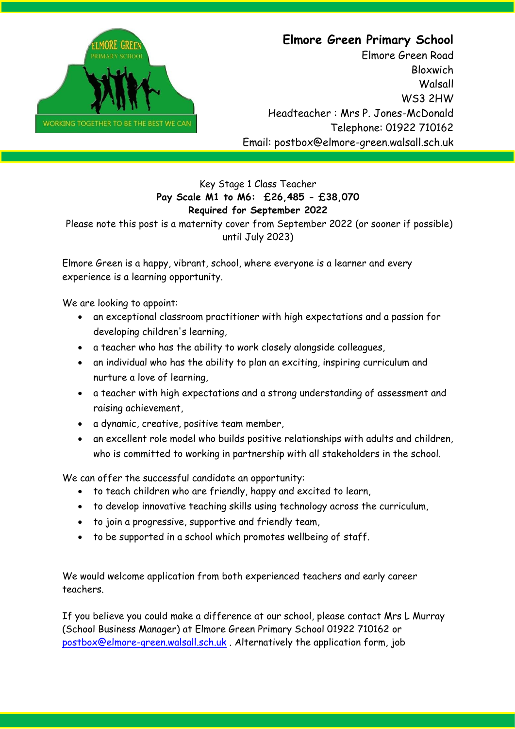

## **Elmore Green Primary School**

Elmore Green Road Bloxwich **Walsall** WS3 2HW Headteacher : Mrs P. Jones-McDonald Telephone: 01922 710162 Email: postbox@elmore-green.walsall.sch.uk

## Key Stage 1 Class Teacher **Pay Scale M1 to M6: £26,485 - £38,070 Required for September 2022**

Please note this post is a maternity cover from September 2022 (or sooner if possible) until July 2023)

Elmore Green is a happy, vibrant, school, where everyone is a learner and every experience is a learning opportunity.

We are looking to appoint:

- an exceptional classroom practitioner with high expectations and a passion for developing children's learning,
- a teacher who has the ability to work closely alongside colleagues,
- an individual who has the ability to plan an exciting, inspiring curriculum and nurture a love of learning,
- a teacher with high expectations and a strong understanding of assessment and raising achievement,
- a dynamic, creative, positive team member,
- an excellent role model who builds positive relationships with adults and children, who is committed to working in partnership with all stakeholders in the school.

We can offer the successful candidate an opportunity:

- to teach children who are friendly, happy and excited to learn,
- to develop innovative teaching skills using technology across the curriculum,
- to join a progressive, supportive and friendly team,
- to be supported in a school which promotes wellbeing of staff.

We would welcome application from both experienced teachers and early career teachers.

If you believe you could make a difference at our school, please contact Mrs L Murray (School Business Manager) at Elmore Green Primary School 01922 710162 or [postbox@elmore-green.walsall.sch.uk](mailto:postbox@elmore-green.walsall.sch.uk) . Alternatively the application form, job